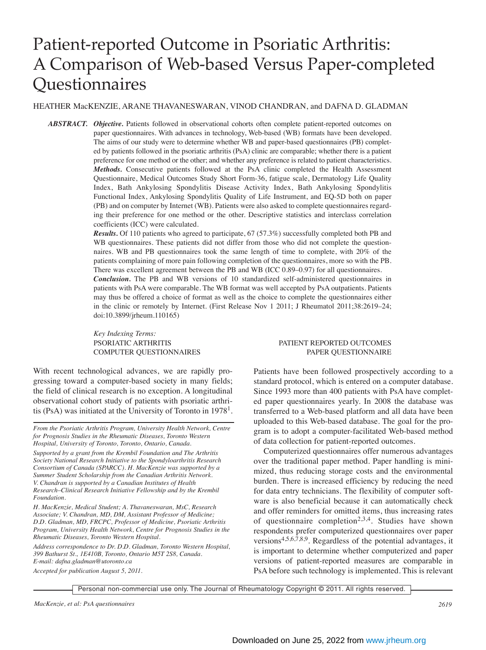# Patient-reported Outcome in Psoriatic Arthritis: A Comparison of Web-based Versus Paper-completed **Questionnaires**

HEATHER MacKENZIE, ARANE THAVANESWARAN, VINOD CHANDRAN, and DAFNA D. GLADMAN

*ABSTRACT. Objective.* Patients followed in observational cohorts often complete patient-reported outcomes on paper questionnaires. With advances in technology, Web-based (WB) formats have been developed. The aims of our study were to determine whether WB and paper-based questionnaires (PB) completed by patients followed in the psoriatic arthritis (PsA) clinic are comparable; whether there is a patient preference for one method or the other; and whether any preference is related to patient characteristics. *Methods.* Consecutive patients followed at the PsA clinic completed the Health Assessment Questionnaire, Medical Outcomes Study Short Form-36, fatigue scale, Dermatology Life Quality Index, Bath Ankylosing Spondylitis Disease Activity Index, Bath Ankylosing Spondylitis Functional Index, Ankylosing Spondylitis Quality of Life Instrument, and EQ-5D both on paper (PB) and on computer by Internet (WB). Patients were also asked to complete questionnaires regarding their preference for one method or the other. Descriptive statistics and interclass correlation coefficients (ICC) were calculated.

*Results.* Of 110 patients who agreed to participate, 67 (57.3%) successfully completed both PB and WB questionnaires. These patients did not differ from those who did not complete the questionnaires. WB and PB questionnaires took the same length of time to complete, with 20% of the patients complaining of more pain following completion of the questionnaires, more so with the PB. There was excellent agreement between the PB and WB (ICC 0.89–0.97) for all questionnaires.

*Conclusion.* The PB and WB versions of 10 standardized self-administered questionnaires in patients with PsA were comparable. The WB format was well accepted by PsA outpatients. Patients may thus be offered a choice of format as well as the choice to complete the questionnaires either in the clinic or remotely by Internet. (First Release Nov 1 2011; J Rheumatol 2011;38:2619–24; doi:10.3899/jrheum.110165)

*Key Indexing Terms:*

With recent technological advances, we are rapidly progressing toward a computer-based society in many fields; the field of clinical research is no exception. A longitudinal observational cohort study of patients with psoriatic arthritis (PsA) was initiated at the University of Toronto in  $1978<sup>1</sup>$ .

*From the Psoriatic Arthritis Program, University Health Network, Centre for Prognosis Studies in the Rheumatic Diseases, Toronto Western Hospital, University of Toronto, Toronto, Ontario, Canada.*

*Supported by a grant from the Krembil Foundation and The Arthritis Society National Research Initiative to the Spondyloarthritis Research Consortium of Canada (SPARCC). H. MacKenzie was supported by a Summer Student Scholarship from the Canadian Arthritis Network. V. Chandran is supported by a Canadian Institutes of Health Research–Clinical Research Initiative Fellowship and by the Krembil Foundation.*

*H. MacKenzie, Medical Student; A. Thavaneswaran, MsC, Research Associate; V. Chandran, MD, DM, Assistant Professor of Medicine; D.D. Gladman, MD, FRCPC, Professor of Medicine, Psoriatic Arthritis Program, University Health Network, Centre for Prognosis Studies in the Rheumatic Diseases, Toronto Western Hospital.*

*Address correspondence to Dr. D.D. Gladman, Toronto Western Hospital, 399 Bathurst St., 1E410B, Toronto, Ontario M5T 2S8, Canada. E-mail: dafna.gladman@utoronto.ca* 

*Accepted for publication August 5, 2011.*

## PSORIATIC ARTHRITIS PATIENT REPORTED OUTCOMES COMPUTER QUESTIONNAIRES PAPER QUESTIONNAIRE

Patients have been followed prospectively according to a standard protocol, which is entered on a computer database. Since 1993 more than 400 patients with PsA have completed paper questionnaires yearly. In 2008 the database was transferred to a Web-based platform and all data have been uploaded to this Web-based database. The goal for the program is to adopt a computer-facilitated Web-based method of data collection for patient-reported outcomes.

Computerized questionnaires offer numerous advantages over the traditional paper method. Paper handling is minimized, thus reducing storage costs and the environmental burden. There is increased efficiency by reducing the need for data entry technicians. The flexibility of computer software is also beneficial because it can automatically check and offer reminders for omitted items, thus increasing rates of questionnaire completion<sup>2,3,4</sup>. Studies have shown respondents prefer computerized questionnaires over paper versions4,5,6,7,8,9. Regardless of the potential advantages, it is important to determine whether computerized and paper versions of patient-reported measures are comparable in PsA before such technology is implemented. This is relevant

Personal non-commercial use only. The Journal of Rheumatology Copyright © 2011. All rights reserved.

*MacKenzie, et al: PsA questionnaires 2619*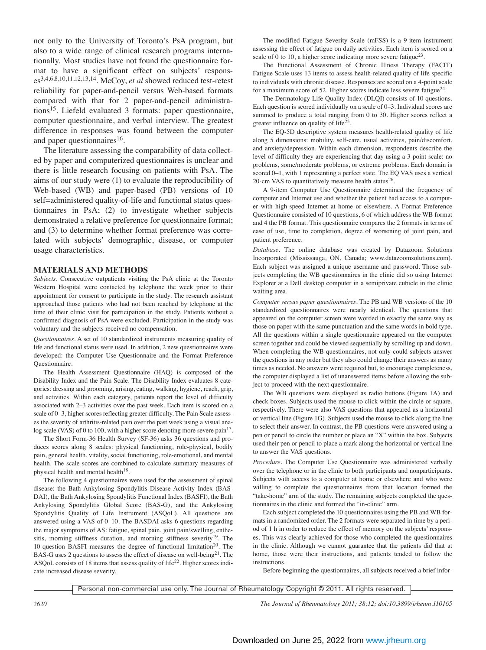not only to the University of Toronto's PsA program, but also to a wide range of clinical research programs internationally. Most studies have not found the questionnaire format to have a significant effect on subjects' responses3,4,6,8,10,11,12,13,14. McCoy, *et al* showed reduced test-retest reliability for paper-and-pencil versus Web-based formats compared with that for 2 paper-and-pencil administrations15. Liefeld evaluated 3 formats: paper questionnaire, computer questionnaire, and verbal interview. The greatest difference in responses was found between the computer and paper questionnaires<sup>16</sup>.

The literature assessing the comparability of data collected by paper and computerized questionnaires is unclear and there is little research focusing on patients with PsA. The aims of our study were (1) to evaluate the reproducibility of Web-based (WB) and paper-based (PB) versions of 10 self=administered quality-of-life and functional status questionnaires in PsA; (2) to investigate whether subjects demonstrated a relative preference for questionnaire format; and (3) to determine whether format preference was correlated with subjects' demographic, disease, or computer usage characteristics.

#### **MATERIALS AND METHODS**

*Subjects.* Consecutive outpatients visiting the PsA clinic at the Toronto Western Hospital were contacted by telephone the week prior to their appointment for consent to participate in the study. The research assistant approached those patients who had not been reached by telephone at the time of their clinic visit for participation in the study. Patients without a confirmed diagnosis of PsA were excluded. Participation in the study was voluntary and the subjects received no compensation.

*Questionnaires.* A set of 10 standardized instruments measuring quality of life and functional status were used. In addition, 2 new questionnaires were developed: the Computer Use Questionnaire and the Format Preference Questionnaire.

The Health Assessment Questionnaire (HAQ) is composed of the Disability Index and the Pain Scale. The Disability Index evaluates 8 categories: dressing and grooming, arising, eating, walking, hygiene, reach, grip, and activities. Within each category, patients report the level of difficulty associated with 2–3 activities over the past week. Each item is scored on a scale of 0–3, higher scores reflecting greater difficulty. The Pain Scale assesses the severity of arthritis-related pain over the past week using a visual analog scale (VAS) of 0 to 100, with a higher score denoting more severe pain<sup>17</sup>.

The Short Form-36 Health Survey (SF-36) asks 36 questions and produces scores along 8 scales: physical functioning, role-physical, bodily pain, general health, vitality, social functioning, role-emotional, and mental health. The scale scores are combined to calculate summary measures of physical health and mental health<sup>18</sup>.

The following 4 questionnaires were used for the assessment of spinal disease: the Bath Ankylosing Spondylitis Disease Activity Index (BAS-DAI), the Bath Ankylosing Spondylitis Functional Index (BASFI), the Bath Ankylosing Spondylitis Global Score (BAS-G), and the Ankylosing Spondylitis Quality of Life Instrument (ASQoL). All questions are answered using a VAS of 0–10. The BASDAI asks 6 questions regarding the major symptoms of AS: fatigue, spinal pain, joint pain/swelling, enthesitis, morning stiffness duration, and morning stiffness severity<sup>19</sup>. The 10-question BASFI measures the degree of functional limitation<sup>20</sup>. The BAS-G uses 2 questions to assess the effect of disease on well-being $^{21}$ . The ASQoL consists of 18 items that assess quality of life<sup>22</sup>. Higher scores indicate increased disease severity.

The modified Fatigue Severity Scale (mFSS) is a 9-item instrument assessing the effect of fatigue on daily activities. Each item is scored on a scale of 0 to 10, a higher score indicating more severe fatigue<sup>23</sup>.

The Functional Assessment of Chronic Illness Therapy (FACIT) Fatigue Scale uses 13 items to assess health-related quality of life specific to individuals with chronic disease. Responses are scored on a 4-point scale for a maximum score of 52. Higher scores indicate less severe fatigue<sup>24</sup>.

The Dermatology Life Quality Index (DLQI) consists of 10 questions. Each question is scored individually on a scale of 0–3. Individual scores are summed to produce a total ranging from 0 to 30. Higher scores reflect a greater influence on quality of life25.

The EQ-5D descriptive system measures health-related quality of life along 5 dimensions: mobility, self-care, usual activities, pain/discomfort, and anxiety/depression. Within each dimension, respondents describe the level of difficulty they are experiencing that day using a 3-point scale: no problems, some/moderate problems, or extreme problems. Each domain is scored 0–1, with 1 representing a perfect state. The EQ VAS uses a vertical 20-cm VAS to quantitatively measure health status $26$ .

A 9-item Computer Use Questionnaire determined the frequency of computer and Internet use and whether the patient had access to a computer with high-speed Internet at home or elsewhere. A Format Preference Questionnaire consisted of 10 questions, 6 of which address the WB format and 4 the PB format. This questionnaire compares the 2 formats in terms of ease of use, time to completion, degree of worsening of joint pain, and patient preference.

*Database.* The online database was created by Datazoom Solutions Incorporated (Mississauga, ON, Canada; www.datazoomsolutions.com). Each subject was assigned a unique username and password. Those subjects completing the WB questionnaires in the clinic did so using Internet Explorer at a Dell desktop computer in a semiprivate cubicle in the clinic waiting area.

*Computer versus paper questionnaires.* The PB and WB versions of the 10 standardized questionnaires were nearly identical. The questions that appeared on the computer screen were worded in exactly the same way as those on paper with the same punctuation and the same words in bold type. All the questions within a single questionnaire appeared on the computer screen together and could be viewed sequentially by scrolling up and down. When completing the WB questionnaires, not only could subjects answer the questions in any order but they also could change their answers as many times as needed. No answers were required but, to encourage completeness, the computer displayed a list of unanswered items before allowing the subject to proceed with the next questionnaire.

The WB questions were displayed as radio buttons (Figure 1A) and check boxes. Subjects used the mouse to click within the circle or square, respectively. There were also VAS questions that appeared as a horizontal or vertical line (Figure 1G). Subjects used the mouse to click along the line to select their answer. In contrast, the PB questions were answered using a pen or pencil to circle the number or place an "X" within the box. Subjects used their pen or pencil to place a mark along the horizontal or vertical line to answer the VAS questions.

*Procedure.* The Computer Use Questionnaire was administered verbally over the telephone or in the clinic to both participants and nonparticipants. Subjects with access to a computer at home or elsewhere and who were willing to complete the questionnaires from that location formed the "take-home" arm of the study. The remaining subjects completed the questionnaires in the clinic and formed the "in-clinic" arm.

Each subject completed the 10 questionnaires using the PB and WB formats in a randomized order. The 2 formats were separated in time by a period of 1 h in order to reduce the effect of memory on the subjects' responses. This was clearly achieved for those who completed the questionnaires in the clinic. Although we cannot guarantee that the patients did that at home, those were their instructions, and patients tended to follow the instructions.

Before beginning the questionnaires, all subjects received a brief infor-

Personal non-commercial use only. The Journal of Rheumatology Copyright © 2011. All rights reserved.

*2620 The Journal of Rheumatology 2011; 38:12; doi:10.3899/jrheum.110165*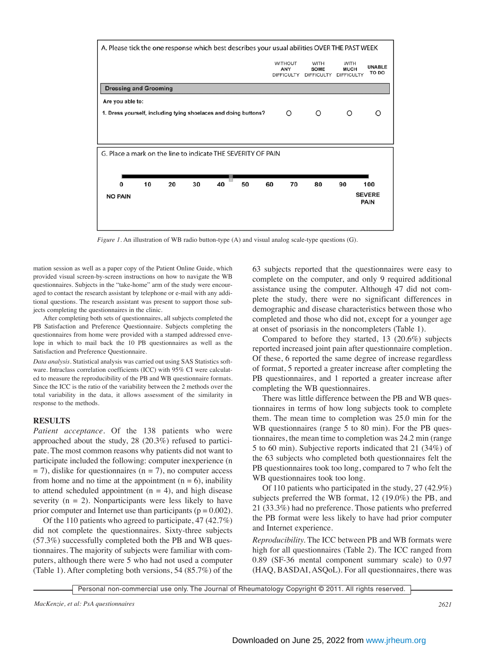

*Figure 1.* An illustration of WB radio button-type (A) and visual analog scale-type questions (G).

mation session as well as a paper copy of the Patient Online Guide, which provided visual screen-by-screen instructions on how to navigate the WB questionnaires. Subjects in the "take-home" arm of the study were encouraged to contact the research assistant by telephone or e-mail with any additional questions. The research assistant was present to support those subjects completing the questionnaires in the clinic.

After completing both sets of questionnaires, all subjects completed the PB Satisfaction and Preference Questionnaire. Subjects completing the questionnaires from home were provided with a stamped addressed envelope in which to mail back the 10 PB questionnaires as well as the Satisfaction and Preference Questionnaire.

*Data analysis.* Statistical analysis was carried out using SAS Statistics software. Intraclass correlation coefficients (ICC) with 95% CI were calculated to measure the reproducibility of the PB and WB questionnaire formats. Since the ICC is the ratio of the variability between the 2 methods over the total variability in the data, it allows assessment of the similarity in response to the methods.

#### **RESULTS**

*Patient acceptance.* Of the 138 patients who were approached about the study, 28 (20.3%) refused to participate. The most common reasons why patients did not want to participate included the following: computer inexperience (n  $=$  7), dislike for questionnaires (n = 7), no computer access from home and no time at the appointment  $(n = 6)$ , inability to attend scheduled appointment  $(n = 4)$ , and high disease severity  $(n = 2)$ . Nonparticipants were less likely to have prior computer and Internet use than participants ( $p = 0.002$ ).

Of the 110 patients who agreed to participate, 47 (42.7%) did not complete the questionnaires. Sixty-three subjects (57.3%) successfully completed both the PB and WB questionnaires. The majority of subjects were familiar with computers, although there were 5 who had not used a computer (Table 1). After completing both versions, 54 (85.7%) of the

63 subjects reported that the questionnaires were easy to complete on the computer, and only 9 required additional assistance using the computer. Although 47 did not complete the study, there were no significant differences in demographic and disease characteristics between those who completed and those who did not, except for a younger age at onset of psoriasis in the noncompleters (Table 1).

Compared to before they started, 13 (20.6%) subjects reported increased joint pain after questionnaire completion. Of these, 6 reported the same degree of increase regardless of format, 5 reported a greater increase after completing the PB questionnaires, and 1 reported a greater increase after completing the WB questionnaires.

There was little difference between the PB and WB questionnaires in terms of how long subjects took to complete them. The mean time to completion was 25.0 min for the WB questionnaires (range 5 to 80 min). For the PB questionnaires, the mean time to completion was 24.2 min (range 5 to 60 min). Subjective reports indicated that 21 (34%) of the 63 subjects who completed both questionnaires felt the PB questionnaires took too long, compared to 7 who felt the WB questionnaires took too long.

Of 110 patients who participated in the study, 27 (42.9%) subjects preferred the WB format, 12 (19.0%) the PB, and 21 (33.3%) had no preference. Those patients who preferred the PB format were less likely to have had prior computer and Internet experience.

*Reproducibility.* The ICC between PB and WB formats were high for all questionnaires (Table 2). The ICC ranged from 0.89 (SF-36 mental component summary scale) to 0.97 (HAQ, BASDAI, ASQoL). For all questionnaires, there was

Personal non-commercial use only. The Journal of Rheumatology Copyright © 2011. All rights reserved.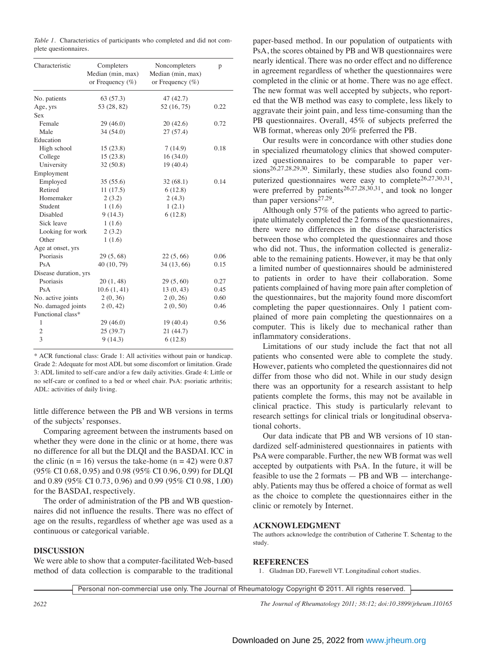*Table 1.* Characteristics of participants who completed and did not complete questionnaires.

| Characteristic        | Completers<br>Median (min, max)<br>or Frequency $(\% )$ | Noncompleters<br>Median (min, max)<br>or Frequency $(\% )$ | p    |
|-----------------------|---------------------------------------------------------|------------------------------------------------------------|------|
| No. patients          | 63 (57.3)                                               | 47 (42.7)                                                  |      |
| Age, yrs              | 53 (28, 82)                                             | 52 (16, 75)                                                | 0.22 |
| Sex                   |                                                         |                                                            |      |
| Female                | 29(46.0)                                                | 20(42.6)                                                   | 0.72 |
| Male                  | 34(54.0)                                                | 27(57.4)                                                   |      |
| Education             |                                                         |                                                            |      |
| High school           | 15(23.8)                                                | 7(14.9)                                                    | 0.18 |
| College               | 15(23.8)                                                | 16(34.0)                                                   |      |
| University            | 32(50.8)                                                | 19 (40.4)                                                  |      |
| Employment            |                                                         |                                                            |      |
| Employed              | 35(55.6)                                                | 32(68.1)                                                   | 0.14 |
| Retired               | 11(17.5)                                                | 6(12.8)                                                    |      |
| Homemaker             | 2(3.2)                                                  | 2(4.3)                                                     |      |
| Student               | 1(1.6)                                                  | 1(2.1)                                                     |      |
| <b>Disabled</b>       | 9(14.3)                                                 | 6(12.8)                                                    |      |
| Sick leave            | 1(1.6)                                                  |                                                            |      |
| Looking for work      | 2(3.2)                                                  |                                                            |      |
| Other                 | 1(1.6)                                                  |                                                            |      |
| Age at onset, yrs     |                                                         |                                                            |      |
| Psoriasis             | 29(5, 68)                                               | 22(5, 66)                                                  | 0.06 |
| PsA                   | 40 (10, 79)                                             | 34 (13, 66)                                                | 0.15 |
| Disease duration, yrs |                                                         |                                                            |      |
| Psoriasis             | 20(1, 48)                                               | 29(5, 60)                                                  | 0.27 |
| PsA                   | 10.6(1, 41)                                             | 13(0, 43)                                                  | 0.45 |
| No. active joints     | 2(0, 36)                                                | 2(0, 26)                                                   | 0.60 |
| No. damaged joints    | 2(0, 42)                                                | 2(0, 50)                                                   | 0.46 |
| Functional class*     |                                                         |                                                            |      |
| 1                     | 29(46.0)                                                | 19 (40.4)                                                  | 0.56 |
| 2                     | 25 (39.7)                                               | 21(44.7)                                                   |      |
| 3                     | 9(14.3)                                                 | 6(12.8)                                                    |      |
|                       |                                                         |                                                            |      |

\* ACR functional class: Grade 1: All activities without pain or handicap. Grade 2: Adequate for most ADL but some discomfort or limitation. Grade 3: ADL limited to self-care and/or a few daily activities. Grade 4: Little or no self-care or confined to a bed or wheel chair. PsA: psoriatic arthritis; ADL: activities of daily living.

little difference between the PB and WB versions in terms of the subjects' responses.

Comparing agreement between the instruments based on whether they were done in the clinic or at home, there was no difference for all but the DLQI and the BASDAI. ICC in the clinic (n = 16) versus the take-home (n = 42) were 0.87 (95% CI 0.68, 0.95) and 0.98 (95% CI 0.96, 0.99) for DLQI and 0.89 (95% CI 0.73, 0.96) and 0.99 (95% CI 0.98, 1.00) for the BASDAI, respectively.

The order of administration of the PB and WB questionnaires did not influence the results. There was no effect of age on the results, regardless of whether age was used as a continuous or categorical variable.

# **DISCUSSION**

We were able to show that a computer-facilitated Web-based method of data collection is comparable to the traditional paper-based method. In our population of outpatients with PsA, the scores obtained by PB and WB questionnaires were nearly identical. There was no order effect and no difference in agreement regardless of whether the questionnaires were completed in the clinic or at home. There was no age effect. The new format was well accepted by subjects, who reported that the WB method was easy to complete, less likely to aggravate their joint pain, and less time-consuming than the PB questionnaires. Overall, 45% of subjects preferred the WB format, whereas only 20% preferred the PB.

Our results were in concordance with other studies done in specialized rheumatology clinics that showed computerized questionnaires to be comparable to paper versions<sup>26,27,28,29,30</sup>. Similarly, these studies also found computerized questionnaires were easy to complete<sup>26,27,30,31</sup>, were preferred by patients<sup>26,27,28,30,31</sup>, and took no longer than paper versions $27,29$ .

Although only 57% of the patients who agreed to participate ultimately completed the 2 forms of the questionnaires, there were no differences in the disease characteristics between those who completed the questionnaires and those who did not. Thus, the information collected is generalizable to the remaining patients. However, it may be that only a limited number of questionnaires should be administered to patients in order to have their collaboration. Some patients complained of having more pain after completion of the questionnaires, but the majority found more discomfort completing the paper questionnaires. Only 1 patient complained of more pain completing the questionnaires on a computer. This is likely due to mechanical rather than inflammatory considerations.

Limitations of our study include the fact that not all patients who consented were able to complete the study. However, patients who completed the questionnaires did not differ from those who did not. While in our study design there was an opportunity for a research assistant to help patients complete the forms, this may not be available in clinical practice. This study is particularly relevant to research settings for clinical trials or longitudinal observational cohorts.

Our data indicate that PB and WB versions of 10 standardized self-administered questionnaires in patients with PsA were comparable. Further, the new WB format was well accepted by outpatients with PsA. In the future, it will be feasible to use the 2 formats  $-$  PB and WB  $-$  interchangeably. Patients may thus be offered a choice of format as well as the choice to complete the questionnaires either in the clinic or remotely by Internet.

## **ACKNOWLEDGMENT**

The authors acknowledge the contribution of Catherine T. Schentag to the study.

# **REFERENCES**

1. Gladman DD, Farewell VT. Longitudinal cohort studies.

Personal non-commercial use only. The Journal of Rheumatology Copyright © 2011. All rights reserved.

*2622 The Journal of Rheumatology 2011; 38:12; doi:10.3899/jrheum.110165*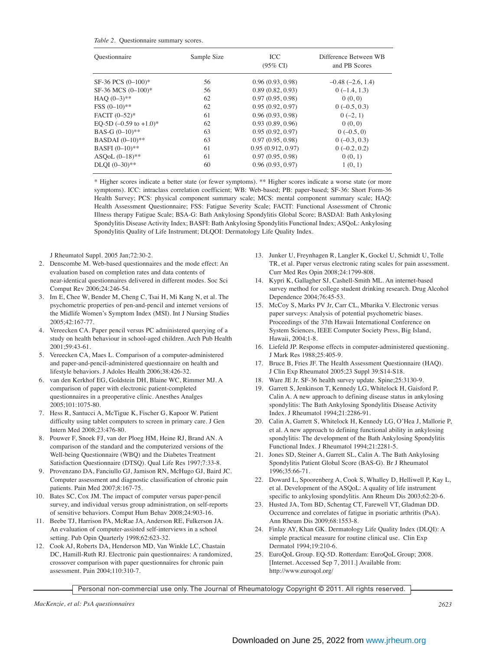*Table 2.* Questionnaire summary scores.

| Ouestionnaire                      | Sample Size | ICC<br>$(95\% \text{ CI})$ | Difference Between WB<br>and PB Scores |
|------------------------------------|-------------|----------------------------|----------------------------------------|
| SF-36 PCS (0-100)*                 | 56          | 0.96(0.93, 0.98)           | $-0.48$ $(-2.6, 1.4)$                  |
| SF-36 MCS (0-100)*                 | 56          | 0.89(0.82, 0.93)           | $0(-1.4, 1.3)$                         |
| HAO $(0-3)**$                      | 62          | 0.97(0.95, 0.98)           | 0(0, 0)                                |
| $FSS (0-10)**$                     | 62          | 0.95(0.92, 0.97)           | $0(-0.5, 0.3)$                         |
| FACIT (0-52)*                      | 61          | 0.96(0.93, 0.98)           | $0(-2, 1)$                             |
| EQ-5D $(-0.59 \text{ to } +1.0)^*$ | 62          | 0.93(0.89, 0.96)           | 0(0, 0)                                |
| BAS-G $(0-10)**$                   | 63          | 0.95(0.92, 0.97)           | $0(-0.5, 0)$                           |
| BASDAI (0-10)**                    | 63          | 0.97(0.95, 0.98)           | $0(-0.3, 0.3)$                         |
| BASFI (0-10)**                     | 61          | 0.95(0.912, 0.97)          | $0(-0.2, 0.2)$                         |
| ASQoL $(0-18)$ **                  | 61          | 0.97(0.95, 0.98)           | 0(0, 1)                                |
| DLQI (0-30)**                      | 60          | 0.96(0.93, 0.97)           | 1(0, 1)                                |
|                                    |             |                            |                                        |

\* Higher scores indicate a better state (or fewer symptoms). \*\* Higher scores indicate a worse state (or more symptoms). ICC: intraclass correlation coefficient; WB: Web-based; PB: paper-based; SF-36: Short Form-36 Health Survey; PCS: physical component summary scale; MCS: mental component summary scale; HAQ: Health Assessment Questionnaire; FSS: Fatigue Severity Scale; FACIT: Functional Assessment of Chronic Illness therapy Fatigue Scale; BSA-G: Bath Ankylosing Spondylitis Global Score; BASDAI: Bath Ankylosing Spondylitis Disease Activity Index; BASFI: Bath Ankylosing Spondylitis Functional Index; ASQoL: Ankylosing Spondylitis Quality of Life Instrument; DLQOI: Dermatology Life Quality Index.

J Rheumatol Suppl. 2005 Jan;72:30-2.

- 2. Denscombe M. Web-based questionnaires and the mode effect: An evaluation based on completion rates and data contents of near-identical questionnaires delivered in different modes. Soc Sci Comput Rev 2006;24:246-54.
- 3. Im E, Chee W, Bender M, Cheng C, Tsai H, Mi Kang N, et al. The psychometric properties of pen-and-pencil and internet versions of the Midlife Women's Symptom Index (MSI). Int J Nursing Studies 2005;42:167-77.
- 4. Vereecken CA. Paper pencil versus PC administered querying of a study on health behaviour in school-aged children. Arch Pub Health 2001;59:43-61.
- 5. Vereecken CA, Maes L. Comparison of a computer-administered and paper-and-pencil-administered questionnaire on health and lifestyle behaviors. J Adoles Health 2006;38:426-32.
- 6. van den Kerkhof EG, Goldstein DH, Blaine WC, Rimmer MJ. A comparison of paper with electronic patient-completed questionnaires in a preoperative clinic. Anesthes Analges 2005;101:1075-80.
- 7. Hess R, Santucci A, McTigue K, Fischer G, Kapoor W. Patient difficulty using tablet computers to screen in primary care. J Gen Intern Med 2008;23:476-80.
- 8. Pouwer F, Snoek FJ, van der Ploeg HM, Heine RJ, Brand AN. A comparison of the standard and the computerized versions of the Well-being Questionnaire (WBQ) and the Diabetes Treatment Satisfaction Questionnaire (DTSQ). Qual Life Res 1997;7:33-8.
- 9. Provenzano DA, Fanciullo GJ, Jamison RN, McHugo GJ, Baird JC. Computer assessment and diagnostic classification of chronic pain patients. Pain Med 2007;8:167-75.
- 10. Bates SC, Cox JM. The impact of computer versus paper-pencil survey, and individual versus group administration, on self-reports of sensitive behaviors. Comput Hum Behav 2008;24:903-16.
- 11. Beebe TJ, Harrison PA, McRae JA, Anderson RE, Fulkerson JA. An evaluation of computer-assisted self-interviews in a school setting. Pub Opin Quarterly 1998;62:623-32.
- 12. Cook AJ, Roberts DA, Henderson MD, Van Winkle LC, Chastain DC, Hamill-Ruth RJ. Electronic pain questionnaires: A randomized, crossover comparison with paper questionnaires for chronic pain assessment. Pain 2004;110:310-7.
- 13. Junker U, Freynhagen R, Langler K, Gockel U, Schmidt U, Tolle TR, et al. Paper versus electronic rating scales for pain assessment. Curr Med Res Opin 2008;24:1799-808.
- 14. Kypri K, Gallagher SJ, Cashell-Smith ML. An internet-based survey method for college student drinking research. Drug Alcohol Dependence 2004;76:45-53.
- 15. McCoy S, Marks PV Jr, Carr CL, Mbarika V. Electronic versus paper surveys: Analysis of potential psychometric biases. Proceedings of the 37th Hawaii International Conference on System Sciences, IEEE Computer Society Press, Big Island, Hawaii, 2004;1-8.
- 16. Liefeld JP. Response effects in computer-administered questioning. J Mark Res 1988;25:405-9.
- 17. Bruce B, Fries JF. The Health Assessment Questionnaire (HAQ). J Clin Exp Rheumatol 2005;23 Suppl 39:S14-S18.
- 18. Ware JE Jr. SF-36 health survey update. Spine;25:3130-9.
- 19. Garrett S, Jenkinson T, Kennedy LG, Whitelock H, Gaisford P, Calin A. A new approach to defining disease status in ankylosing spondylitis: The Bath Ankylosing Spondylitis Disease Activity Index. J Rheumatol 1994;21:2286-91.
- 20. Calin A, Garrett S, Whitelock H, Kennedy LG, O'Hea J, Mallorie P, et al. A new approach to defining functional ability in ankylosing spondylitis: The development of the Bath Ankylosing Spondylitis Functional Index. J Rheumatol 1994;21:2281-5.
- 21. Jones SD, Steiner A, Garrett SL, Calin A. The Bath Ankylosing Spondylitis Patient Global Score (BAS-G). Br J Rheumatol 1996;35:66-71.
- 22. Doward L, Spoorenberg A, Cook S, Whalley D, Helliwell P, Kay L, et al. Development of the ASQoL: A quality of life instrument specific to ankylosing spondylitis. Ann Rheum Dis 2003;62:20-6.
- 23. Husted JA, Tom BD, Schentag CT, Farewell VT, Gladman DD. Occurrence and correlates of fatigue in psoriatic arthritis (PsA). Ann Rheum Dis 2009;68:1553-8.
- 24. Finlay AY, Khan GK. Dermatology Life Quality Index (DLQI): A simple practical measure for routine clinical use. Clin Exp Dermatol 1994;19:210-6.
- 25. EuroQoL Group. EQ-5D. Rotterdam: EuroQoL Group; 2008. [Internet. Accessed Sep 7, 2011.] Available from: http://www.euroqol.org/

Personal non-commercial use only. The Journal of Rheumatology Copyright © 2011. All rights reserved.